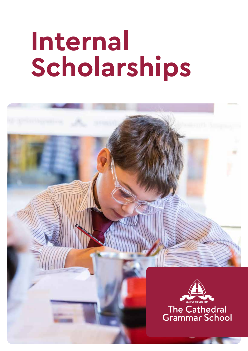# **Internal Scholarships**

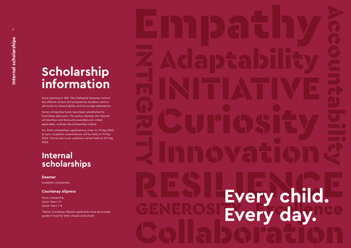

## **Scholarship information**

Since opening in 1881, The Cathedral Grammar School has offered current and prospective students various discounts to reward ability and encourage attendance.

Some scholarship funds have been established to fund these discounts. This policy itemises the internal scholarships and discounts awarded and, where applicable, outlines the scholarship criteria.

For 2023 scholarships, applications close on 13 May 2022 at 4pm. Academic examinations will be held on 19 May 2022. Choral and music auditions will be held on 20 May 2022.

### **Internal scholarships**

### **Deamer**

Academic scholarship

### **Courtenay Allpress**

Music scholarship Junior Years 1-3 Senior Years 7-8

\*Senior Courtenay Allpress applicants must be at least grade IV level for their chosen instrument.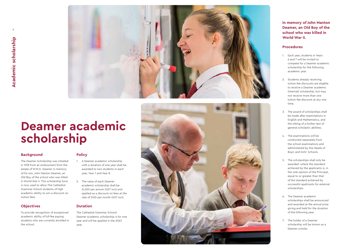

## **Deamer academic scholarship**

### **Background**

The Deamer Scholarship was initiated in 1978 from an endowment from the estate of W.M.G. Deamer in memory of his son, John Manton Deamer, an Old Boy of the school who was killed in World War II. This scholarship fund is now used to allow The Cathedral Grammar School students of high academic ability to win a discount on tuition fees.

### **Objectives**

To provide recognition of exceptional academic ability of full-fee paying students who are currently enrolled in the school.

### **Policy**

- 1. A Deamer academic scholarship with a duration of one year shall be awarded to two students in each year, Year 7 and Year 8.
- 2. The value of each Deamer academic scholarship shall be \$I,000 per annum (GST incl) and applied as a discount on fees at the rate of \$100 per month (GST incl).

### **Duration**

The Cathedral Grammar Schiool Deamer academic scholarship is for one year and will be applied in the 2023 year.



**In memory of John Manton Deamer, an Old Boy of the school who was killed in World War II.**

#### **Procedures**

- 1. Each year, students in Years 6 and 7 will be invited to compete for a Deamer academic scholarship for the following academic year.
- 2. Students already receiving tuition fee discounts are eligible to receive a Deamer academic (internal) scholarship, but may not receive more than one tuition fee discount at any one time.
- 3. The award of scholarships shall be made after examinations in English and Mathematics, and the sitting of a further test of general scholastic abilities.
- 4. The examinations will be conducted separately from the school examinations and administered by the Heads of Boys' and Girls' Schools.
- 5. The scholarships shall only be awarded where the standard achieved by the applicants is, in the sole opinion of the Principal, equal to or greater than that of the standard achieved by successful applicants for external scholarships.
- 6. The Deamer academic scholarships shall be announced and awarded at the annual prize giving and held for the duration of the following year.
- 7. The holder of a Deamer scholarship will be known as a Deamer scholar.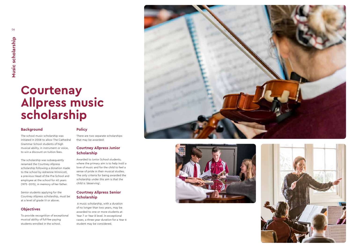### **Courtenay Allpress music scholarship**

### **Background**

The school music scholarship was initiated in 2008 to allow The Cathedral Grammar School students of high musical ability, in instrument or voice, to win a discount on tuition fees.

The scholarship was subsequently renamed the Courtney Allpress scholarship following a donation made to the school by Adrienne Winnicott, a previous Head of the Pre-School and employee at the school for 40 years (1975 -2015), in memory of her father.

Senior students applying for the Courtney Allpress scholarship, must be at a level of grade IV or above.

### **Objectives**

To provide recognition of exceptional musical ability of full-fee paying students enrolled in the school.

### **Policy**

There are two separate scholarships that may be awarded:

### **Courtney Allpress Junior Scholarship**

Awarded to Junior School students, where the primary aim is to help instil a love of music and for the child to feel a sense of pride in their musical studies. The only criteria for being awarded the scholarship under this aim is that the child is 'deserving'.

### **Courtney Allpress Senior Scholarship**

 A music scholarship, with a duration of no longer than two years, may be awarded to one or more students at Year 7 or Year 8 level. In exceptional cases, a three-year duration for a Year 6 student may be considered.





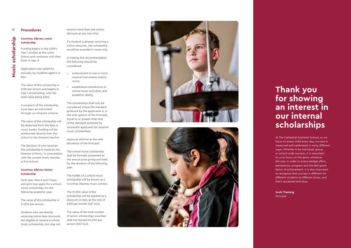### 08 **Procedures**

### **Courtney Allpress Junior Scholarship**

Funding begins in the child's Year 1 studies at the Junior School and continues until they finish in Year 3.

Applications are called for annually, by students aged 5 or less.

The value of this scholarship is \$100 per annum and begins in Year 1 of schooling; with the total value being \$300.

A recipient of this scholarship, must learn an instrument through our itinerant scheme.

The value of the scholarship will be deducted from the fees or music books. Funding will be reimbursed directly from the school to the itinerant teacher.

The decision of who receives this scholarship is made by the Director of Music, in consultation with the current music teacher at Pre-School.

#### **Courtney Allpress Senior Scholarship**

Each year, Year 6 and 7 boys and girls may apply for a school music scholarship, for the following academic year.

The value of this scholarship is \$1,000 per annum.

Students who are already receiving tuition fees discounts are eligible to receive a school music scholarship, but may not

receive more than one tuition discount at any one time.

If a student is already receiving a tuition discount, the scholarship would be awarded in name only.

In making this recommendation the following should be considered:

- achievement in one or more musical instruments and/or voice;
- established contribution to school music activities; and academic ability.

**Scott Thelning Principal** 

# Music scholarship **Music scholarship**

The scholarships shall only be considered where the standard achieved by the applicants is, in the sole opinion of the Principal, equal to or greater than that of the standard achieved by successful applicants for external music scholarships.

Approval shall be at the sole discretion of the Principal.

The school music scholarship shall be formally presented at the annual prize giving and held for the duration of the following year.

The holder of a school music scholarship will be known as a Courtney Allpress music scholar.

The \$1,000 value of the scholarship will be applied as a discount on fees at the rate of \$100 per month (GST incl).

The value of the total number of senior scholarships awarded shall not exceed \$4,000 per annum (GST incl).





### **Thank you for showing an interest in our internal scholarships**

At The Cathedral Grammar School, as we focus on every child every day, success is measured and celebrated in many different ways. Whether it be individual, group or school-wide success, it is important to us to focus on the gains, whatever the size, in order to acknowledge effort, persistence, progress and the feel-good factor of achievement. It is also important to recognise that success is different for different students at different times, and that's accepted and okay.